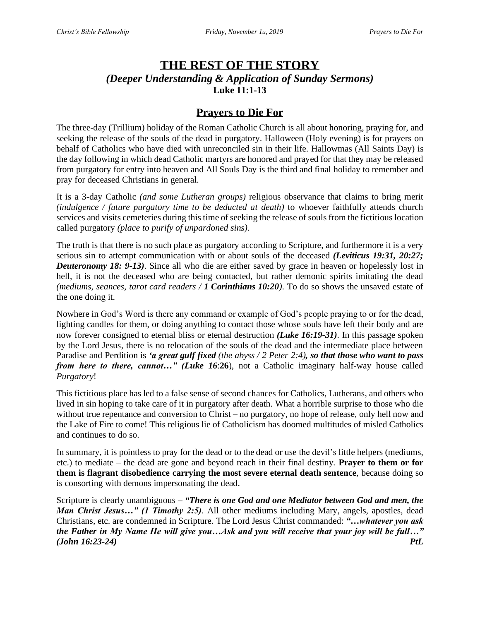# **THE REST OF THE STORY** *(Deeper Understanding & Application of Sunday Sermons)* **Luke 11:1-13**

## **Prayers to Die For**

The three-day (Trillium) holiday of the Roman Catholic Church is all about honoring, praying for, and seeking the release of the souls of the dead in purgatory. Halloween (Holy evening) is for prayers on behalf of Catholics who have died with unreconciled sin in their life. Hallowmas (All Saints Day) is the day following in which dead Catholic martyrs are honored and prayed for that they may be released from purgatory for entry into heaven and All Souls Day is the third and final holiday to remember and pray for deceased Christians in general.

It is a 3-day Catholic *(and some Lutheran groups)* religious observance that claims to bring merit *(indulgence / future purgatory time to be deducted at death)* to whoever faithfully attends church services and visits cemeteries during this time of seeking the release of souls from the fictitious location called purgatory *(place to purify of unpardoned sins)*.

The truth is that there is no such place as purgatory according to Scripture, and furthermore it is a very serious sin to attempt communication with or about souls of the deceased *(Leviticus 19:31, 20:27; Deuteronomy 18: 9-13)*. Since all who die are either saved by grace in heaven or hopelessly lost in hell, it is not the deceased who are being contacted, but rather demonic spirits imitating the dead *(mediums, seances, tarot card readers / 1 Corinthians 10:20)*. To do so shows the unsaved estate of the one doing it.

Nowhere in God's Word is there any command or example of God's people praying to or for the dead, lighting candles for them, or doing anything to contact those whose souls have left their body and are now forever consigned to eternal bliss or eternal destruction *(Luke 16:19-31)*. In this passage spoken by the Lord Jesus, there is no relocation of the souls of the dead and the intermediate place between Paradise and Perdition is *'a great gulf fixed (the abyss / 2 Peter 2:4), so that those who want to pass from here to there, cannot…" (Luke 16*:**26**), not a Catholic imaginary half-way house called *Purgatory*!

This fictitious place has led to a false sense of second chances for Catholics, Lutherans, and others who lived in sin hoping to take care of it in purgatory after death. What a horrible surprise to those who die without true repentance and conversion to Christ – no purgatory, no hope of release, only hell now and the Lake of Fire to come! This religious lie of Catholicism has doomed multitudes of misled Catholics and continues to do so.

In summary, it is pointless to pray for the dead or to the dead or use the devil's little helpers (mediums, etc.) to mediate – the dead are gone and beyond reach in their final destiny. **Prayer to them or for them is flagrant disobedience carrying the most severe eternal death sentence**, because doing so is consorting with demons impersonating the dead.

Scripture is clearly unambiguous – *"There is one God and one Mediator between God and men, the Man Christ Jesus...*" *(1 Timothy 2:5)*. All other mediums including Mary, angels, apostles, dead Christians, etc. are condemned in Scripture. The Lord Jesus Christ commanded: *"…whatever you ask the Father in My Name He will give you…Ask and you will receive that your joy will be full…" (John 16:23-24) PtL*